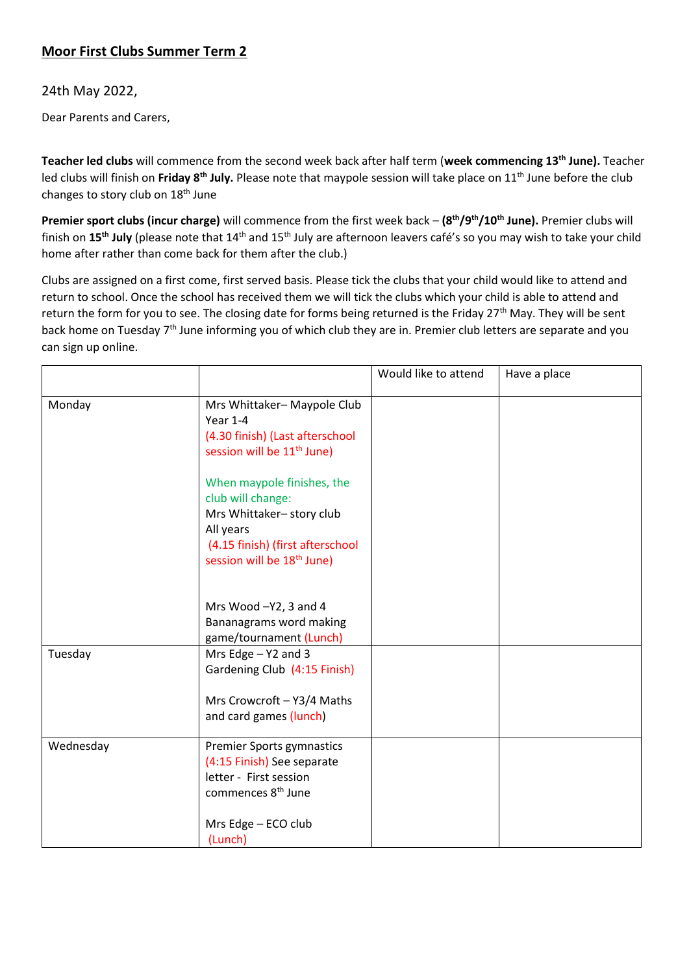## **Moor First Clubs Summer Term 2**

## 24th May 2022,

Dear Parents and Carers,

**Teacher led clubs** will commence from the second week back after half term (**week commencing 13th June).** Teacher led clubs will finish on **Friday 8th July.** Please note that maypole session will take place on 11th June before the club changes to story club on 18<sup>th</sup> June

**Premier sport clubs (incur charge)** will commence from the first week back – **(8th/9th/10th June).** Premier clubs will finish on **15th July** (please note that 14th and 15th July are afternoon leavers café's so you may wish to take your child home after rather than come back for them after the club.)

Clubs are assigned on a first come, first served basis. Please tick the clubs that your child would like to attend and return to school. Once the school has received them we will tick the clubs which your child is able to attend and return the form for you to see. The closing date for forms being returned is the Friday 27<sup>th</sup> May. They will be sent back home on Tuesday 7<sup>th</sup> June informing you of which club they are in. Premier club letters are separate and you can sign up online.

|           |                                                                                                                                                                                                                                                                                               | Would like to attend | Have a place |
|-----------|-----------------------------------------------------------------------------------------------------------------------------------------------------------------------------------------------------------------------------------------------------------------------------------------------|----------------------|--------------|
| Monday    | Mrs Whittaker-Maypole Club<br>Year 1-4<br>(4.30 finish) (Last afterschool<br>session will be 11 <sup>th</sup> June)<br>When maypole finishes, the<br>club will change:<br>Mrs Whittaker-story club<br>All years<br>(4.15 finish) (first afterschool<br>session will be 18 <sup>th</sup> June) |                      |              |
| Tuesday   | Mrs Wood -Y2, 3 and 4<br>Bananagrams word making<br>game/tournament (Lunch)<br>Mrs Edge - Y2 and 3                                                                                                                                                                                            |                      |              |
|           | Gardening Club (4:15 Finish)<br>Mrs Crowcroft - Y3/4 Maths<br>and card games (lunch)                                                                                                                                                                                                          |                      |              |
| Wednesday | <b>Premier Sports gymnastics</b><br>(4:15 Finish) See separate<br>letter - First session<br>commences 8 <sup>th</sup> June<br>Mrs Edge - ECO club<br>(Lunch)                                                                                                                                  |                      |              |